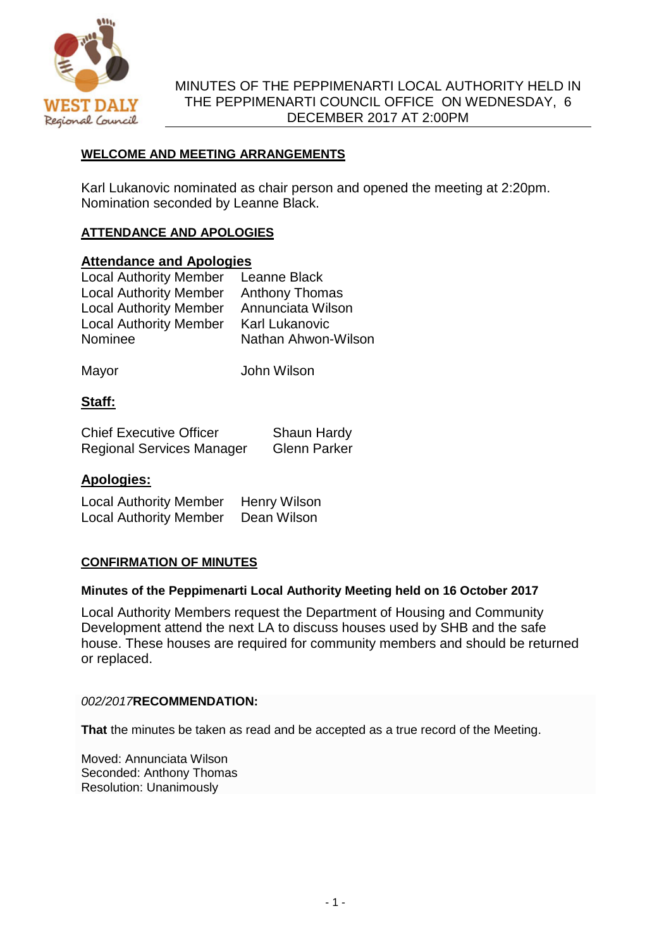

## MINUTES OF THE PEPPIMENARTI LOCAL AUTHORITY HELD IN THE PEPPIMENARTI COUNCIL OFFICE ON WEDNESDAY, 6 DECEMBER 2017 AT 2:00PM

## **WELCOME AND MEETING ARRANGEMENTS**

Karl Lukanovic nominated as chair person and opened the meeting at 2:20pm. Nomination seconded by Leanne Black.

### **ATTENDANCE AND APOLOGIES**

### **Attendance and Apologies**

| Local Authority Member Leanne Black |                       |
|-------------------------------------|-----------------------|
| <b>Local Authority Member</b>       | <b>Anthony Thomas</b> |
| <b>Local Authority Member</b>       | Annunciata Wilson     |
| <b>Local Authority Member</b>       | <b>Karl Lukanovic</b> |
| Nominee                             | Nathan Ahwon-Wilson   |
|                                     |                       |

Mayor **Mayor** John Wilson

## **Staff:**

| <b>Chief Executive Officer</b>   | Shaun Hardy         |
|----------------------------------|---------------------|
| <b>Regional Services Manager</b> | <b>Glenn Parker</b> |

### **Apologies:**

| <b>Local Authority Member</b> | Henry Wilson |
|-------------------------------|--------------|
| <b>Local Authority Member</b> | Dean Wilson  |

### **CONFIRMATION OF MINUTES**

### **Minutes of the Peppimenarti Local Authority Meeting held on 16 October 2017**

Local Authority Members request the Department of Housing and Community Development attend the next LA to discuss houses used by SHB and the safe house. These houses are required for community members and should be returned or replaced.

### *002/2017***RECOMMENDATION:**

**That** the minutes be taken as read and be accepted as a true record of the Meeting.

Moved: Annunciata Wilson Seconded: Anthony Thomas Resolution: Unanimously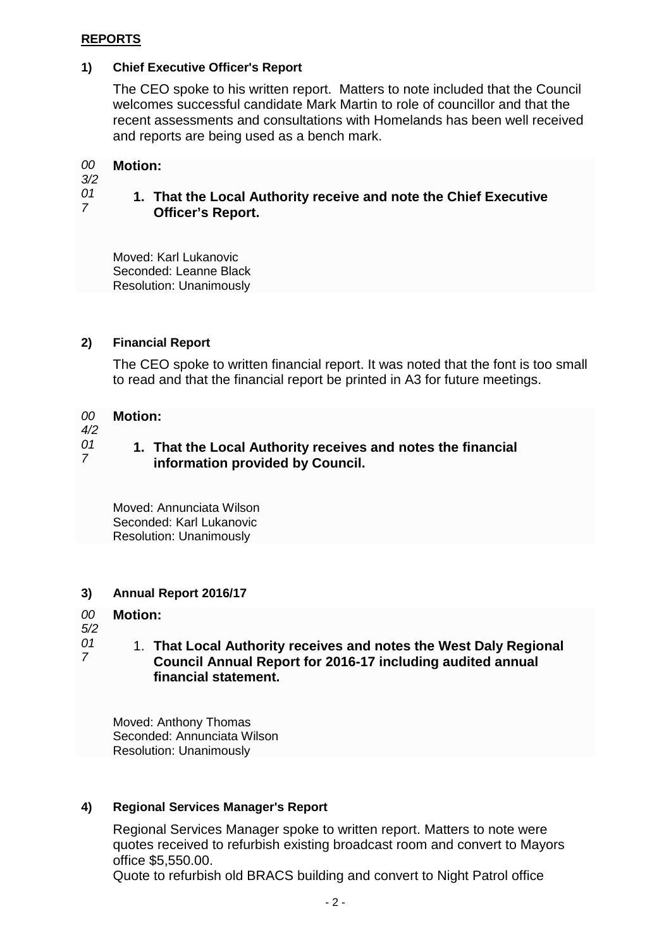### **REPORTS**

### **1) Chief Executive Officer's Report**

The CEO spoke to his written report. Matters to note included that the Council welcomes successful candidate Mark Martin to role of councillor and that the recent assessments and consultations with Homelands has been well received and reports are being used as a bench mark.

### *00* **Motion:**

- *3/2*
- *01 7*

# **1. That the Local Authority receive and note the Chief Executive Officer's Report.**

Moved: Karl Lukanovic Seconded: Leanne Black Resolution: Unanimously

### **2) Financial Report**

The CEO spoke to written financial report. It was noted that the font is too small to read and that the financial report be printed in A3 for future meetings.

### *00* **Motion:**

*4/2 01*

*7*

## **1. That the Local Authority receives and notes the financial information provided by Council.**

Moved: Annunciata Wilson Seconded: Karl Lukanovic Resolution: Unanimously

### **3) Annual Report 2016/17**

### *00* **Motion:**

*5/2 01*

*7*

## 1. **That Local Authority receives and notes the West Daly Regional Council Annual Report for 2016-17 including audited annual financial statement.**

Moved: Anthony Thomas Seconded: Annunciata Wilson Resolution: Unanimously

### **4) Regional Services Manager's Report**

Regional Services Manager spoke to written report. Matters to note were quotes received to refurbish existing broadcast room and convert to Mayors office \$5,550.00.

Quote to refurbish old BRACS building and convert to Night Patrol office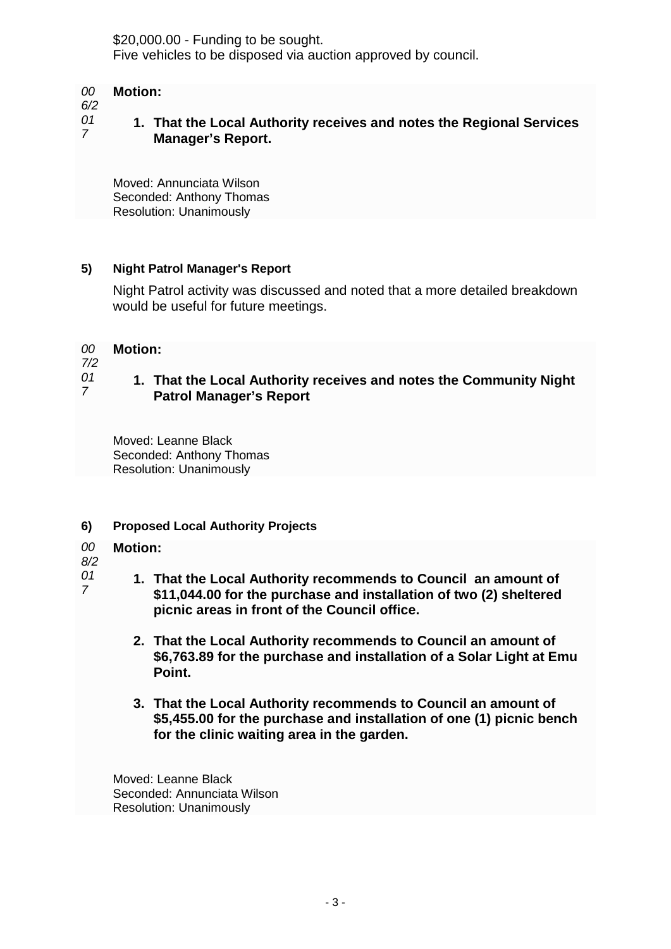\$20,000.00 - Funding to be sought. Five vehicles to be disposed via auction approved by council.

### *00* **Motion:**

*6/2*

*01 7*

**1. That the Local Authority receives and notes the Regional Services Manager's Report.**

Moved: Annunciata Wilson Seconded: Anthony Thomas Resolution: Unanimously

## **5) Night Patrol Manager's Report**

Night Patrol activity was discussed and noted that a more detailed breakdown would be useful for future meetings.

### *00* **Motion:**

*7/2*

### *01 7*

**1. That the Local Authority receives and notes the Community Night Patrol Manager's Report** 

Moved: Leanne Black Seconded: Anthony Thomas Resolution: Unanimously

# **6) Proposed Local Authority Projects**

### *00* **Motion:**

*8/2*

- *01 7*
- **1. That the Local Authority recommends to Council an amount of \$11,044.00 for the purchase and installation of two (2) sheltered picnic areas in front of the Council office.** 
	- **2. That the Local Authority recommends to Council an amount of \$6,763.89 for the purchase and installation of a Solar Light at Emu Point.**
	- **3. That the Local Authority recommends to Council an amount of \$5,455.00 for the purchase and installation of one (1) picnic bench for the clinic waiting area in the garden.**

Moved: Leanne Black Seconded: Annunciata Wilson Resolution: Unanimously